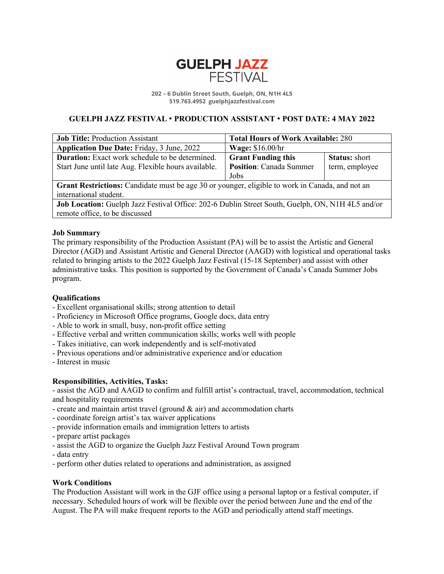

**202 – 6 Dublin Street South, Guelph, ON, N1H 4L5 519.763.4952 guelphjazzfestival.com**

# **GUELPH JAZZ FESTIVAL** • **PRODUCTION ASSISTANT** • **POST DATE: 4 MAY 2022**

| <b>Job Title: Production Assistant</b>                                                           | <b>Total Hours of Work Available: 280</b> |                      |
|--------------------------------------------------------------------------------------------------|-------------------------------------------|----------------------|
| <b>Application Due Date: Friday, 3 June, 2022</b>                                                | <b>Wage: \$16.00/hr</b>                   |                      |
| <b>Duration:</b> Exact work schedule to be determined.                                           | <b>Grant Funding this</b>                 | <b>Status:</b> short |
| Start June until late Aug. Flexible hours available.                                             | <b>Position:</b> Canada Summer            | term, employee       |
|                                                                                                  | Jobs                                      |                      |
| Grant Restrictions: Candidate must be age 30 or younger, eligible to work in Canada, and not an  |                                           |                      |
| international student.                                                                           |                                           |                      |
| Job Location: Guelph Jazz Festival Office: 202-6 Dublin Street South, Guelph, ON, N1H 4L5 and/or |                                           |                      |
| remote office, to be discussed                                                                   |                                           |                      |

## **Job Summary**

The primary responsibility of the Production Assistant (PA) will be to assist the Artistic and General Director (AGD) and Assistant Artistic and General Director (AAGD) with logistical and operational tasks related to bringing artists to the 2022 Guelph Jazz Festival (15-18 September) and assist with other administrative tasks. This position is supported by the Government of Canada's Canada Summer Jobs program.

## **Qualifications**

- Excellent organisational skills; strong attention to detail
- Proficiency in Microsoft Office programs, Google docs, data entry
- Able to work in small, busy, non-profit office setting
- Effective verbal and written communication skills; works well with people
- Takes initiative, can work independently and is self-motivated
- Previous operations and/or administrative experience and/or education
- Interest in music

# **Responsibilities, Activities, Tasks:**

- assist the AGD and AAGD to confirm and fulfill artist's contractual, travel, accommodation, technical and hospitality requirements

- create and maintain artist travel (ground  $\&$  air) and accommodation charts
- coordinate foreign artist's tax waiver applications
- provide information emails and immigration letters to artists
- prepare artist packages
- assist the AGD to organize the Guelph Jazz Festival Around Town program
- data entry
- perform other duties related to operations and administration, as assigned

# **Work Conditions**

The Production Assistant will work in the GJF office using a personal laptop or a festival computer, if necessary. Scheduled hours of work will be flexible over the period between June and the end of the August. The PA will make frequent reports to the AGD and periodically attend staff meetings.